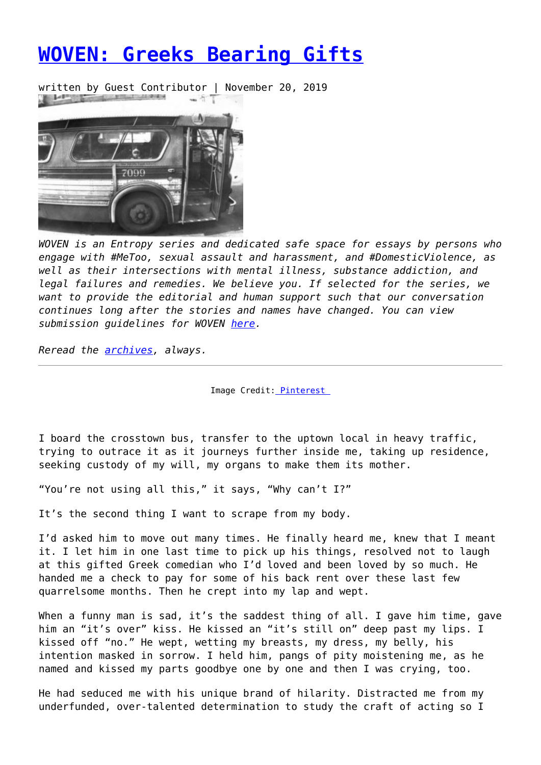## **[WOVEN: Greeks Bearing Gifts](https://entropymag.org/woven-greeks-bearing-gifts/)**

written by Guest Contributor | November 20, 2019



*WOVEN is an Entropy series and dedicated safe space for essays by persons who engage with #MeToo, sexual assault and harassment, and #DomesticViolence, as well as their intersections with mental illness, substance addiction, and legal failures and remedies. We believe you. If selected for the series, we want to provide the editorial and human support such that our conversation continues long after the stories and names have changed. You can view submission guidelines for WOVEN [here.](https://entropymag.org/woven-call-for-submissions/)*

*Reread the [archives](https://entropymag.org/tag/woven/), always.* 

Image Credit: Pinterest

I board the crosstown bus, transfer to the uptown local in heavy traffic, trying to outrace it as it journeys further inside me, taking up residence, seeking custody of my will, my organs to make them its mother.

"You're not using all this," it says, "Why can't I?"

It's the second thing I want to scrape from my body.

I'd asked him to move out many times. He finally heard me, knew that I meant it. I let him in one last time to pick up his things, resolved not to laugh at this gifted Greek comedian who I'd loved and been loved by so much. He handed me a check to pay for some of his back rent over these last few quarrelsome months. Then he crept into my lap and wept.

When a funny man is sad, it's the saddest thing of all. I gave him time, gave him an "it's over" kiss. He kissed an "it's still on" deep past my lips. I kissed off "no." He wept, wetting my breasts, my dress, my belly, his intention masked in sorrow. I held him, pangs of pity moistening me, as he named and kissed my parts goodbye one by one and then I was crying, too.

He had seduced me with his unique brand of hilarity. Distracted me from my underfunded, over-talented determination to study the craft of acting so I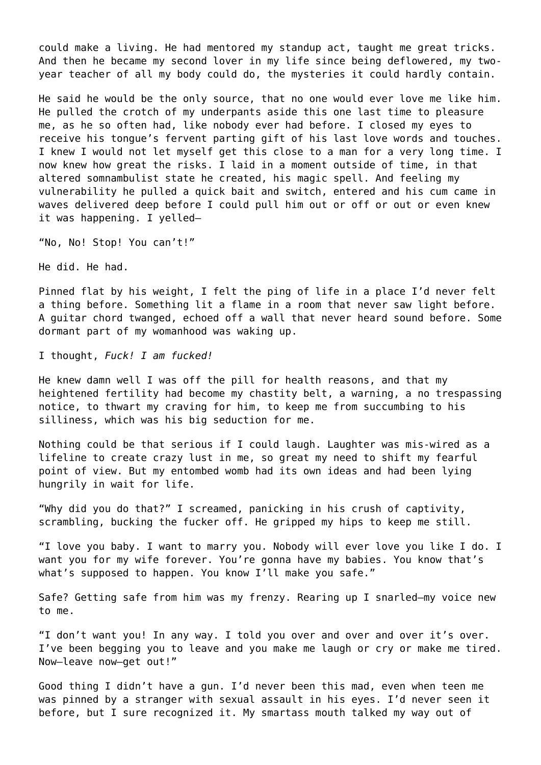could make a living. He had mentored my standup act, taught me great tricks. And then he became my second lover in my life since being deflowered, my twoyear teacher of all my body could do, the mysteries it could hardly contain.

He said he would be the only source, that no one would ever love me like him. He pulled the crotch of my underpants aside this one last time to pleasure me, as he so often had, like nobody ever had before. I closed my eyes to receive his tongue's fervent parting gift of his last love words and touches. I knew I would not let myself get this close to a man for a very long time. I now knew how great the risks. I laid in a moment outside of time, in that altered somnambulist state he created, his magic spell. And feeling my vulnerability he pulled a quick bait and switch, entered and his cum came in waves delivered deep before I could pull him out or off or out or even knew it was happening. I yelled—

"No, No! Stop! You can't!"

He did. He had.

Pinned flat by his weight, I felt the ping of life in a place I'd never felt a thing before. Something lit a flame in a room that never saw light before. A guitar chord twanged, echoed off a wall that never heard sound before. Some dormant part of my womanhood was waking up.

I thought, *Fuck! I am fucked!* 

He knew damn well I was off the pill for health reasons, and that my heightened fertility had become my chastity belt, a warning, a no trespassing notice, to thwart my craving for him, to keep me from succumbing to his silliness, which was his big seduction for me.

Nothing could be that serious if I could laugh. Laughter was mis-wired as a lifeline to create crazy lust in me, so great my need to shift my fearful point of view. But my entombed womb had its own ideas and had been lying hungrily in wait for life.

"Why did you do that?" I screamed, panicking in his crush of captivity, scrambling, bucking the fucker off. He gripped my hips to keep me still.

"I love you baby. I want to marry you. Nobody will ever love you like I do. I want you for my wife forever. You're gonna have my babies. You know that's what's supposed to happen. You know I'll make you safe."

Safe? Getting safe from him was my frenzy. Rearing up I snarled—my voice new to me.

"I don't want you! In any way. I told you over and over and over it's over. I've been begging you to leave and you make me laugh or cry or make me tired. Now—leave now—get out!"

Good thing I didn't have a gun. I'd never been this mad, even when teen me was pinned by a stranger with sexual assault in his eyes. I'd never seen it before, but I sure recognized it. My smartass mouth talked my way out of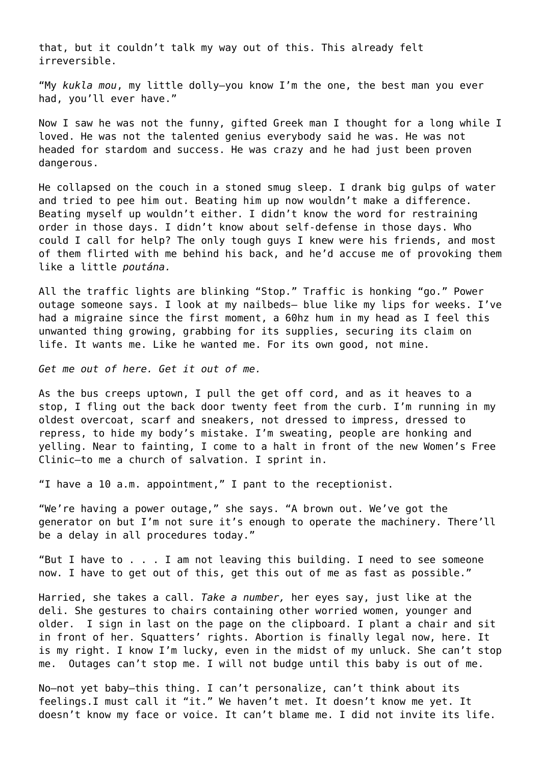that, but it couldn't talk my way out of this. This already felt irreversible.

"My *kukla mou*, my little dolly—you know I'm the one, the best man you ever had, you'll ever have."

Now I saw he was not the funny, gifted Greek man I thought for a long while I loved. He was not the talented genius everybody said he was. He was not headed for stardom and success. He was crazy and he had just been proven dangerous.

He collapsed on the couch in a stoned smug sleep. I drank big gulps of water and tried to pee him out. Beating him up now wouldn't make a difference. Beating myself up wouldn't either. I didn't know the word for restraining order in those days. I didn't know about self-defense in those days. Who could I call for help? The only tough guys I knew were his friends, and most of them flirted with me behind his back, and he'd accuse me of provoking them like a little *poutána.*

All the traffic lights are blinking "Stop." Traffic is honking "go." Power outage someone says. I look at my nailbeds— blue like my lips for weeks. I've had a migraine since the first moment, a 60hz hum in my head as I feel this unwanted thing growing, grabbing for its supplies, securing its claim on life. It wants me. Like he wanted me. For its own good, not mine.

*Get me out of here. Get it out of me.* 

As the bus creeps uptown, I pull the get off cord, and as it heaves to a stop, I fling out the back door twenty feet from the curb. I'm running in my oldest overcoat, scarf and sneakers, not dressed to impress, dressed to repress, to hide my body's mistake. I'm sweating, people are honking and yelling. Near to fainting, I come to a halt in front of the new Women's Free Clinic—to me a church of salvation. I sprint in.

"I have a 10 a.m. appointment," I pant to the receptionist.

"We're having a power outage," she says. "A brown out. We've got the generator on but I'm not sure it's enough to operate the machinery. There'll be a delay in all procedures today."

"But I have to . . . I am not leaving this building. I need to see someone now. I have to get out of this, get this out of me as fast as possible."

Harried, she takes a call. *Take a number,* her eyes say, just like at the deli. She gestures to chairs containing other worried women, younger and older. I sign in last on the page on the clipboard. I plant a chair and sit in front of her. Squatters' rights. Abortion is finally legal now, here. It is my right. I know I'm lucky, even in the midst of my unluck. She can't stop me. Outages can't stop me. I will not budge until this baby is out of me.

No—not yet baby—this thing. I can't personalize, can't think about its feelings.I must call it "it." We haven't met. It doesn't know me yet. It doesn't know my face or voice. It can't blame me. I did not invite its life.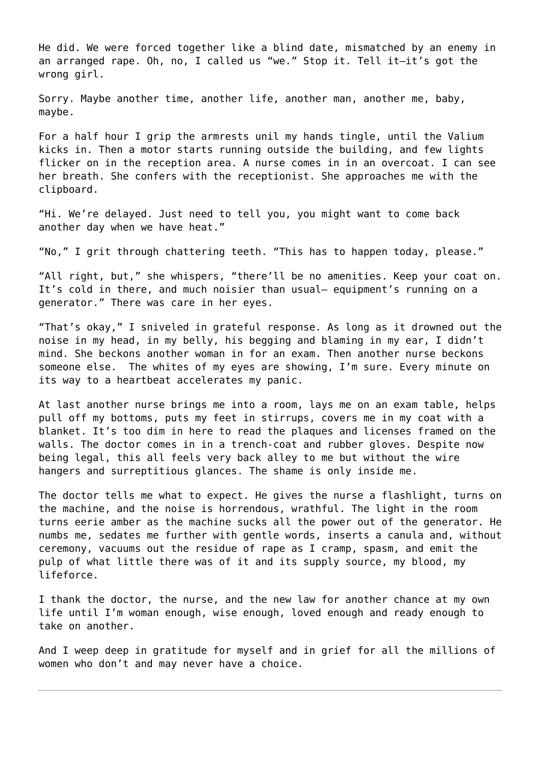He did. We were forced together like a blind date, mismatched by an enemy in an arranged rape. Oh, no, I called us "we." Stop it. Tell it—it's got the wrong girl.

Sorry. Maybe another time, another life, another man, another me, baby, maybe.

For a half hour I grip the armrests unil my hands tingle, until the Valium kicks in. Then a motor starts running outside the building, and few lights flicker on in the reception area. A nurse comes in in an overcoat. I can see her breath. She confers with the receptionist. She approaches me with the clipboard.

"Hi. We're delayed. Just need to tell you, you might want to come back another day when we have heat."

"No," I grit through chattering teeth. "This has to happen today, please."

"All right, but," she whispers, "there'll be no amenities. Keep your coat on. It's cold in there, and much noisier than usual— equipment's running on a generator." There was care in her eyes.

"That's okay," I sniveled in grateful response. As long as it drowned out the noise in my head, in my belly, his begging and blaming in my ear, I didn't mind. She beckons another woman in for an exam. Then another nurse beckons someone else. The whites of my eyes are showing, I'm sure. Every minute on its way to a heartbeat accelerates my panic.

At last another nurse brings me into a room, lays me on an exam table, helps pull off my bottoms, puts my feet in stirrups, covers me in my coat with a blanket. It's too dim in here to read the plaques and licenses framed on the walls. The doctor comes in in a trench-coat and rubber gloves. Despite now being legal, this all feels very back alley to me but without the wire hangers and surreptitious glances. The shame is only inside me.

The doctor tells me what to expect. He gives the nurse a flashlight, turns on the machine, and the noise is horrendous, wrathful. The light in the room turns eerie amber as the machine sucks all the power out of the generator. He numbs me, sedates me further with gentle words, inserts a canula and, without ceremony, vacuums out the residue of rape as I cramp, spasm, and emit the pulp of what little there was of it and its supply source, my blood, my lifeforce.

I thank the doctor, the nurse, and the new law for another chance at my own life until I'm woman enough, wise enough, loved enough and ready enough to take on another.

And I weep deep in gratitude for myself and in grief for all the millions of women who don't and may never have a choice.